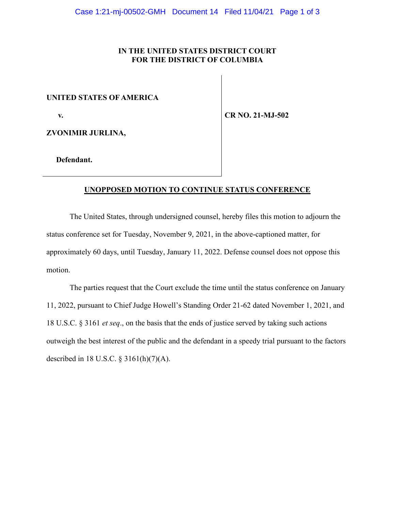## **IN THE UNITED STATES DISTRICT COURT FOR THE DISTRICT OF COLUMBIA**

## **UNITED STATES OF AMERICA**

 **v.**

**CR NO. 21-MJ-502**

**ZVONIMIR JURLINA,**

 **Defendant.**

## **UNOPPOSED MOTION TO CONTINUE STATUS CONFERENCE**

The United States, through undersigned counsel, hereby files this motion to adjourn the status conference set for Tuesday, November 9, 2021, in the above-captioned matter, for approximately 60 days, until Tuesday, January 11, 2022. Defense counsel does not oppose this motion.

The parties request that the Court exclude the time until the status conference on January 11, 2022, pursuant to Chief Judge Howell's Standing Order 21-62 dated November 1, 2021, and 18 U.S.C. § 3161 *et seq*., on the basis that the ends of justice served by taking such actions outweigh the best interest of the public and the defendant in a speedy trial pursuant to the factors described in 18 U.S.C. § 3161(h)(7)(A).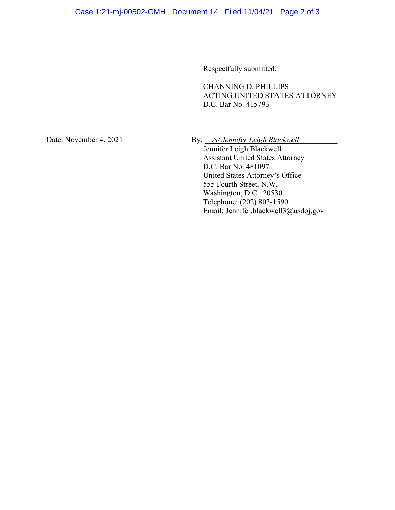Respectfully submitted,

CHANNING D. PHILLIPS ACTING UNITED STATES ATTORNEY D.C. Bar No. 415793

Date: November 4, 2021 By: *\_\_/s/ Jennifer Leigh Blackwell* 

Jennifer Leigh Blackwell Assistant United States Attorney D.C. Bar No. 481097 United States Attorney's Office 555 Fourth Street, N.W. Washington, D.C. 20530 Telephone: (202) 803-1590 Email: Jennifer.blackwell3@usdoj.gov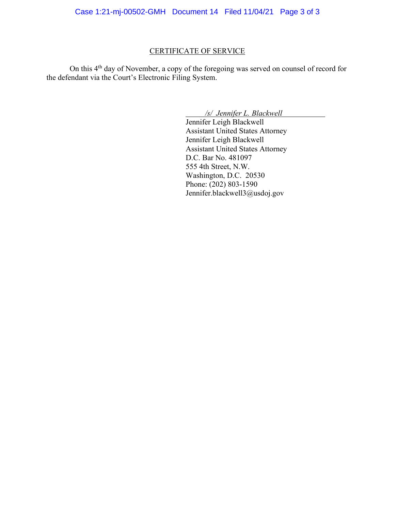# CERTIFICATE OF SERVICE

On this 4th day of November, a copy of the foregoing was served on counsel of record for the defendant via the Court's Electronic Filing System.

 */s/ Jennifer L. Blackwell* 

Jennifer Leigh Blackwell Assistant United States Attorney Jennifer Leigh Blackwell Assistant United States Attorney D.C. Bar No. 481097 555 4th Street, N.W. Washington, D.C. 20530 Phone: (202) 803-1590 Jennifer.blackwell3@usdoj.gov